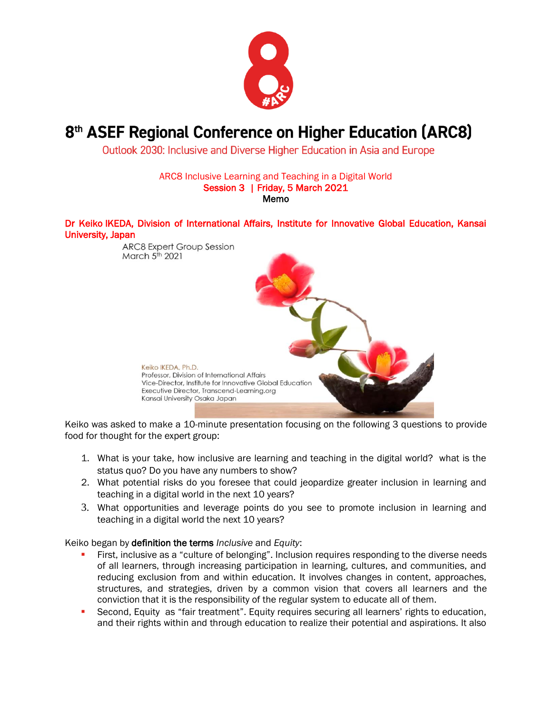

## 8<sup>th</sup> ASEF Regional Conference on Higher Education (ARC8)

Outlook 2030: Inclusive and Diverse Higher Education in Asia and Europe

ARC8 Inclusive Learning and Teaching in a Digital World Session 3 | Friday, 5 March 2021 Memo

Dr Keiko IKEDA, Division of International Affairs, Institute for Innovative Global Education, Kansai University, Japan



Keiko was asked to make a 10-minute presentation focusing on the following 3 questions to provide food for thought for the expert group:

- 1. What is your take, how inclusive are learning and teaching in the digital world? what is the status quo? Do you have any numbers to show?
- 2. What potential risks do you foresee that could jeopardize greater inclusion in learning and teaching in a digital world in the next 10 years?
- 3. What opportunities and leverage points do you see to promote inclusion in learning and teaching in a digital world the next 10 years?

Keiko began by definition the terms *Inclusive* and *Equity*:

- First, inclusive as a "culture of belonging". Inclusion requires responding to the diverse needs of all learners, through increasing participation in learning, cultures, and communities, and reducing exclusion from and within education. It involves changes in content, approaches, structures, and strategies, driven by a common vision that covers all learners and the conviction that it is the responsibility of the regular system to educate all of them.
- **•** Second, Equity as "fair treatment". Equity requires securing all learners' rights to education, and their rights within and through education to realize their potential and aspirations. It also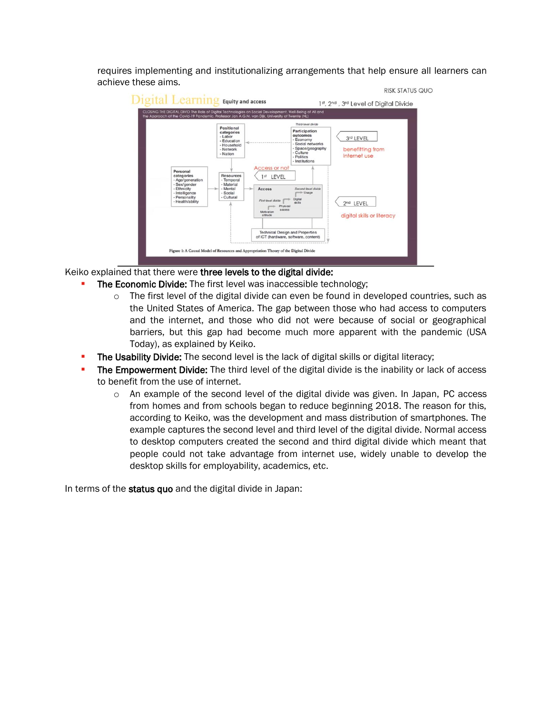requires implementing and institutionalizing arrangements that help ensure all learners can achieve these aims.



## Keiko explained that there were three levels to the digital divide:

- **The Economic Divide:** The first level was inaccessible technology;
	- $\circ$  The first level of the digital divide can even be found in developed countries, such as the United States of America. The gap between those who had access to computers and the internet, and those who did not were because of social or geographical barriers, but this gap had become much more apparent with the pandemic (USA Today), as explained by Keiko.
- The Usability Divide: The second level is the lack of digital skills or digital literacy;
- The Empowerment Divide: The third level of the digital divide is the inability or lack of access to benefit from the use of internet.
	- $\circ$  An example of the second level of the digital divide was given. In Japan, PC access from homes and from schools began to reduce beginning 2018. The reason for this, according to Keiko, was the development and mass distribution of smartphones. The example captures the second level and third level of the digital divide. Normal access to desktop computers created the second and third digital divide which meant that people could not take advantage from internet use, widely unable to develop the desktop skills for employability, academics, etc.

In terms of the status quo and the digital divide in Japan: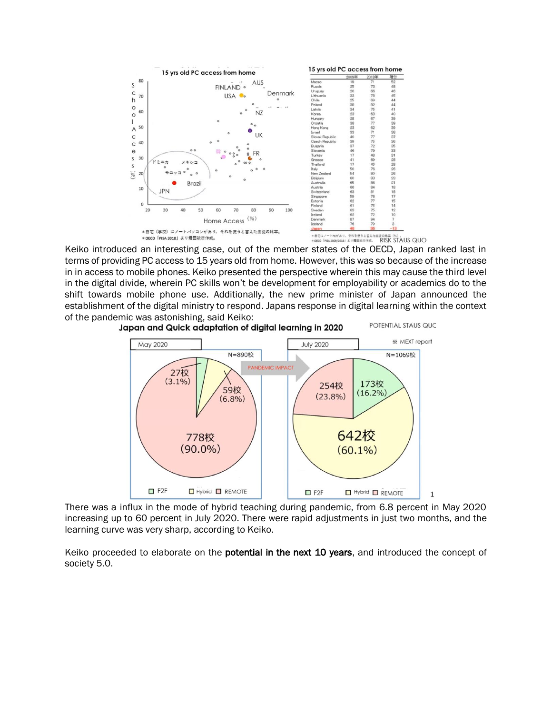

terms of providing PC access to 15 years old from home. However, this was so because of the increase in in access to mobile phones. Keiko presented the perspective wherein this may cause the third level in the digital divide, wherein PC skills won't be development for employability or academics do to the shift towards mobile phone use. Additionally, the new prime minister of Japan announced the establishment of the digital ministry to respond. Japans response in digital learning within the context of the pandemic was astonishing, said Keiko:<br>Japan and Quick adaptation of digital learning in 2020 POTENTIAL STAUS QUC



There was a influx in the mode of hybrid teaching during pandemic, from 6.8 percent in May 2020 increasing up to 60 percent in July 2020. There were rapid adjustments in just two months, and the learning curve was very sharp, according to Keiko.

Keiko proceeded to elaborate on the potential in the next 10 years, and introduced the concept of society 5.0.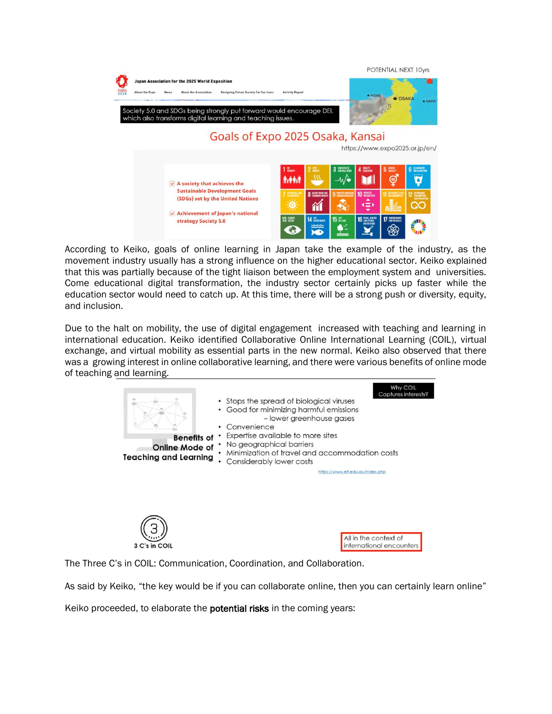

According to Keiko, goals of online learning in Japan take the example of the industry, as the movement industry usually has a strong influence on the higher educational sector. Keiko explained that this was partially because of the tight liaison between the employment system and universities. Come educational digital transformation, the industry sector certainly picks up faster while the education sector would need to catch up. At this time, there will be a strong push or diversity, equity, and inclusion.

Due to the halt on mobility, the use of digital engagement increased with teaching and learning in international education. Keiko identified Collaborative Online International Learning (COIL), virtual exchange, and virtual mobility as essential parts in the new normal. Keiko also observed that there was a growing interest in online collaborative learning, and there were various benefits of online mode of teaching and learning.



The Three C's in COIL: Communication, Coordination, and Collaboration.

As said by Keiko, "the key would be if you can collaborate online, then you can certainly learn online"

Keiko proceeded, to elaborate the **potential risks** in the coming years: